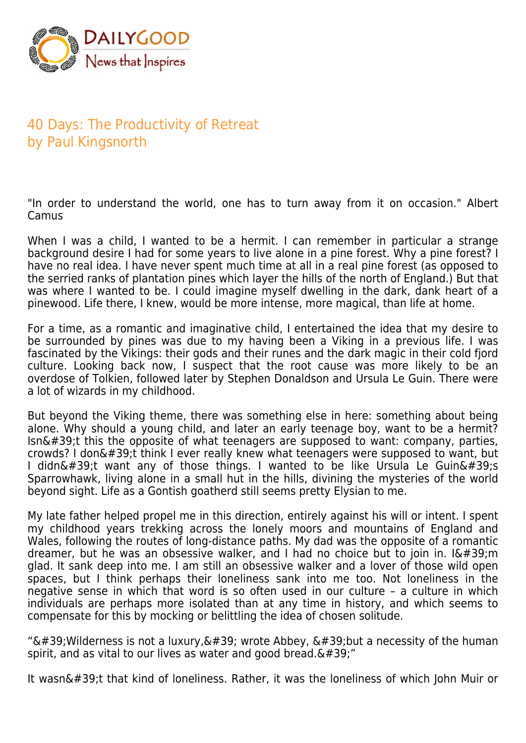

## 40 Days: The Productivity of Retreat by Paul Kingsnorth

"In order to understand the world, one has to turn away from it on occasion." Albert Camus

When I was a child, I wanted to be a hermit. I can remember in particular a strange background desire I had for some years to live alone in a pine forest. Why a pine forest? I have no real idea. I have never spent much time at all in a real pine forest (as opposed to the serried ranks of plantation pines which layer the hills of the north of England.) But that was where I wanted to be. I could imagine myself dwelling in the dark, dank heart of a pinewood. Life there, I knew, would be more intense, more magical, than life at home.

For a time, as a romantic and imaginative child, I entertained the idea that my desire to be surrounded by pines was due to my having been a Viking in a previous life. I was fascinated by the Vikings: their gods and their runes and the dark magic in their cold fjord culture. Looking back now, I suspect that the root cause was more likely to be an overdose of Tolkien, followed later by Stephen Donaldson and Ursula Le Guin. There were a lot of wizards in my childhood.

But beyond the Viking theme, there was something else in here: something about being alone. Why should a young child, and later an early teenage boy, want to be a hermit?  $\sin\omega$ #39;t this the opposite of what teenagers are supposed to want: company, parties, crowds? I don $'$ ;t think I ever really knew what teenagers were supposed to want, but I didn't want any of those things. I wanted to be like Ursula Le Guin's Sparrowhawk, living alone in a small hut in the hills, divining the mysteries of the world beyond sight. Life as a Gontish goatherd still seems pretty Elysian to me.

My late father helped propel me in this direction, entirely against his will or intent. I spent my childhood years trekking across the lonely moors and mountains of England and Wales, following the routes of long-distance paths. My dad was the opposite of a romantic dreamer, but he was an obsessive walker, and I had no choice but to join in.  $I\'$ ; m glad. It sank deep into me. I am still an obsessive walker and a lover of those wild open spaces, but I think perhaps their loneliness sank into me too. Not loneliness in the negative sense in which that word is so often used in our culture – a culture in which individuals are perhaps more isolated than at any time in history, and which seems to compensate for this by mocking or belittling the idea of chosen solitude.

" $\&\#39$ ; Wilderness is not a luxury,  $\&\#39$ ; wrote Abbey,  $\&\#39$ ; but a necessity of the human spirit, and as vital to our lives as water and good bread. $'$ ;"

It wasn't that kind of loneliness. Rather, it was the loneliness of which John Muir or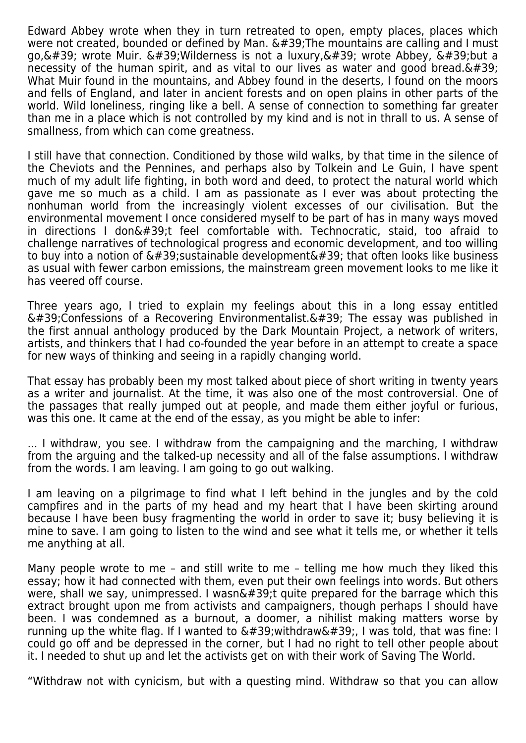Edward Abbey wrote when they in turn retreated to open, empty places, places which were not created, bounded or defined by Man.  $\&\#39$ ; The mountains are calling and I must go,  $\&\#39$ ; wrote Muir,  $\&\#39$ ; Wilderness is not a luxury,  $\&\#39$ ; wrote Abbey,  $\&\#39$ ; but a necessity of the human spirit, and as vital to our lives as water and good bread. $'$ ; What Muir found in the mountains, and Abbey found in the deserts, I found on the moors and fells of England, and later in ancient forests and on open plains in other parts of the world. Wild loneliness, ringing like a bell. A sense of connection to something far greater than me in a place which is not controlled by my kind and is not in thrall to us. A sense of smallness, from which can come greatness.

I still have that connection. Conditioned by those wild walks, by that time in the silence of the Cheviots and the Pennines, and perhaps also by Tolkein and Le Guin, I have spent much of my adult life fighting, in both word and deed, to protect the natural world which gave me so much as a child. I am as passionate as I ever was about protecting the nonhuman world from the increasingly violent excesses of our civilisation. But the environmental movement I once considered myself to be part of has in many ways moved in directions I don $\&\#39$ ;t feel comfortable with. Technocratic, staid, too afraid to challenge narratives of technological progress and economic development, and too willing to buy into a notion of  $\&\#39$ ; sustainable development $\&\#39$ ; that often looks like business as usual with fewer carbon emissions, the mainstream green movement looks to me like it has veered off course.

Three years ago, I tried to explain my feelings about this in a long essay entitled  $\&\#39$ ; Confessions of a Recovering Environmentalist. $\&\#39$ ; The essay was published in the first annual anthology produced by the Dark Mountain Project, a network of writers, artists, and thinkers that I had co-founded the year before in an attempt to create a space for new ways of thinking and seeing in a rapidly changing world.

That essay has probably been my most talked about piece of short writing in twenty years as a writer and journalist. At the time, it was also one of the most controversial. One of the passages that really jumped out at people, and made them either joyful or furious, was this one. It came at the end of the essay, as you might be able to infer:

... I withdraw, you see. I withdraw from the campaigning and the marching, I withdraw from the arguing and the talked-up necessity and all of the false assumptions. I withdraw from the words. I am leaving. I am going to go out walking.

I am leaving on a pilgrimage to find what I left behind in the jungles and by the cold campfires and in the parts of my head and my heart that I have been skirting around because I have been busy fragmenting the world in order to save it; busy believing it is mine to save. I am going to listen to the wind and see what it tells me, or whether it tells me anything at all.

Many people wrote to me – and still write to me – telling me how much they liked this essay; how it had connected with them, even put their own feelings into words. But others were, shall we say, unimpressed. I wasn $\&\#39$ ; auite prepared for the barrage which this extract brought upon me from activists and campaigners, though perhaps I should have been. I was condemned as a burnout, a doomer, a nihilist making matters worse by running up the white flag. If I wanted to  $\&\#39$ ; withdraw $&\#39$ ;, I was told, that was fine: I could go off and be depressed in the corner, but I had no right to tell other people about it. I needed to shut up and let the activists get on with their work of Saving The World.

"Withdraw not with cynicism, but with a questing mind. Withdraw so that you can allow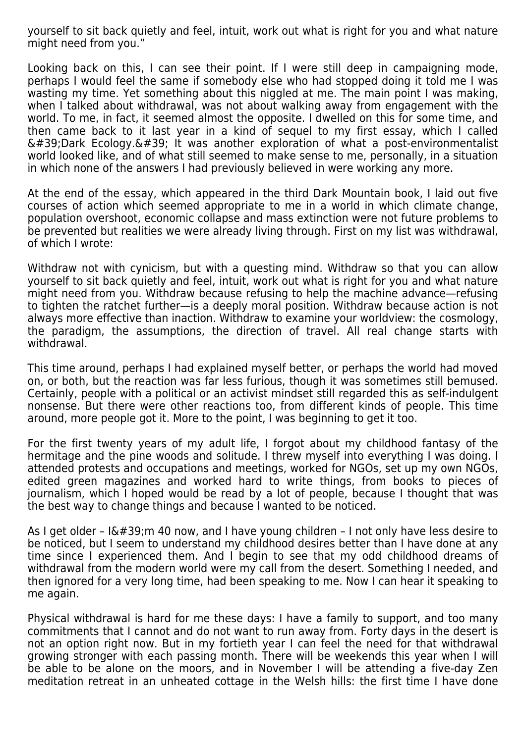yourself to sit back quietly and feel, intuit, work out what is right for you and what nature might need from you."

Looking back on this, I can see their point. If I were still deep in campaigning mode, perhaps I would feel the same if somebody else who had stopped doing it told me I was wasting my time. Yet something about this niggled at me. The main point I was making, when I talked about withdrawal, was not about walking away from engagement with the world. To me, in fact, it seemed almost the opposite. I dwelled on this for some time, and then came back to it last year in a kind of sequel to my first essay, which I called  $\&\#39$ ; Dark Ecology.  $&\#39$ ; It was another exploration of what a post-environmentalist world looked like, and of what still seemed to make sense to me, personally, in a situation in which none of the answers I had previously believed in were working any more.

At the end of the essay, which appeared in the third Dark Mountain book, I laid out five courses of action which seemed appropriate to me in a world in which climate change, population overshoot, economic collapse and mass extinction were not future problems to be prevented but realities we were already living through. First on my list was withdrawal, of which I wrote:

Withdraw not with cynicism, but with a questing mind. Withdraw so that you can allow yourself to sit back quietly and feel, intuit, work out what is right for you and what nature might need from you. Withdraw because refusing to help the machine advance—refusing to tighten the ratchet further—is a deeply moral position. Withdraw because action is not always more effective than inaction. Withdraw to examine your worldview: the cosmology, the paradigm, the assumptions, the direction of travel. All real change starts with withdrawal.

This time around, perhaps I had explained myself better, or perhaps the world had moved on, or both, but the reaction was far less furious, though it was sometimes still bemused. Certainly, people with a political or an activist mindset still regarded this as self-indulgent nonsense. But there were other reactions too, from different kinds of people. This time around, more people got it. More to the point, I was beginning to get it too.

For the first twenty years of my adult life, I forgot about my childhood fantasy of the hermitage and the pine woods and solitude. I threw myself into everything I was doing. I attended protests and occupations and meetings, worked for NGOs, set up my own NGOs, edited green magazines and worked hard to write things, from books to pieces of journalism, which I hoped would be read by a lot of people, because I thought that was the best way to change things and because I wanted to be noticed.

As I get older -  $I\'$ ; m 40 now, and I have young children - I not only have less desire to be noticed, but I seem to understand my childhood desires better than I have done at any time since I experienced them. And I begin to see that my odd childhood dreams of withdrawal from the modern world were my call from the desert. Something I needed, and then ignored for a very long time, had been speaking to me. Now I can hear it speaking to me again.

Physical withdrawal is hard for me these days: I have a family to support, and too many commitments that I cannot and do not want to run away from. Forty days in the desert is not an option right now. But in my fortieth year I can feel the need for that withdrawal growing stronger with each passing month. There will be weekends this year when I will be able to be alone on the moors, and in November I will be attending a five-day Zen meditation retreat in an unheated cottage in the Welsh hills: the first time I have done